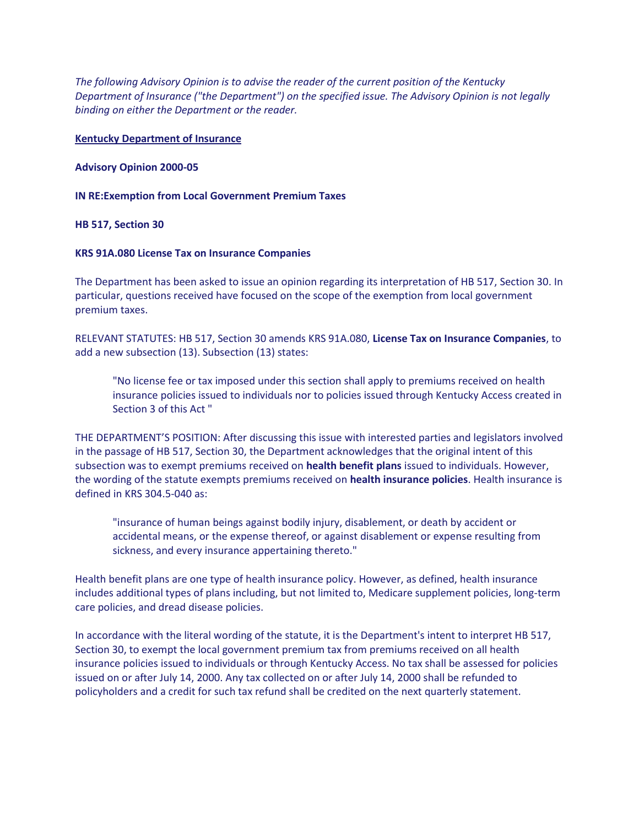*The following Advisory Opinion is to advise the reader of the current position of the Kentucky Department of Insurance ("the Department") on the specified issue. The Advisory Opinion is not legally binding on either the Department or the reader.*

# **Kentucky Department of Insurance**

# **Advisory Opinion 2000-05**

# **IN RE:Exemption from Local Government Premium Taxes**

# **HB 517, Section 30**

# **KRS 91A.080 License Tax on Insurance Companies**

The Department has been asked to issue an opinion regarding its interpretation of HB 517, Section 30. In particular, questions received have focused on the scope of the exemption from local government premium taxes.

RELEVANT STATUTES: HB 517, Section 30 amends KRS 91A.080, **License Tax on Insurance Companies**, to add a new subsection (13). Subsection (13) states:

"No license fee or tax imposed under this section shall apply to premiums received on health insurance policies issued to individuals nor to policies issued through Kentucky Access created in Section 3 of this Act "

THE DEPARTMENT'S POSITION: After discussing this issue with interested parties and legislators involved in the passage of HB 517, Section 30, the Department acknowledges that the original intent of this subsection was to exempt premiums received on **health benefit plans** issued to individuals. However, the wording of the statute exempts premiums received on **health insurance policies**. Health insurance is defined in KRS 304.5-040 as:

"insurance of human beings against bodily injury, disablement, or death by accident or accidental means, or the expense thereof, or against disablement or expense resulting from sickness, and every insurance appertaining thereto."

Health benefit plans are one type of health insurance policy. However, as defined, health insurance includes additional types of plans including, but not limited to, Medicare supplement policies, long-term care policies, and dread disease policies.

In accordance with the literal wording of the statute, it is the Department's intent to interpret HB 517, Section 30, to exempt the local government premium tax from premiums received on all health insurance policies issued to individuals or through Kentucky Access. No tax shall be assessed for policies issued on or after July 14, 2000. Any tax collected on or after July 14, 2000 shall be refunded to policyholders and a credit for such tax refund shall be credited on the next quarterly statement.